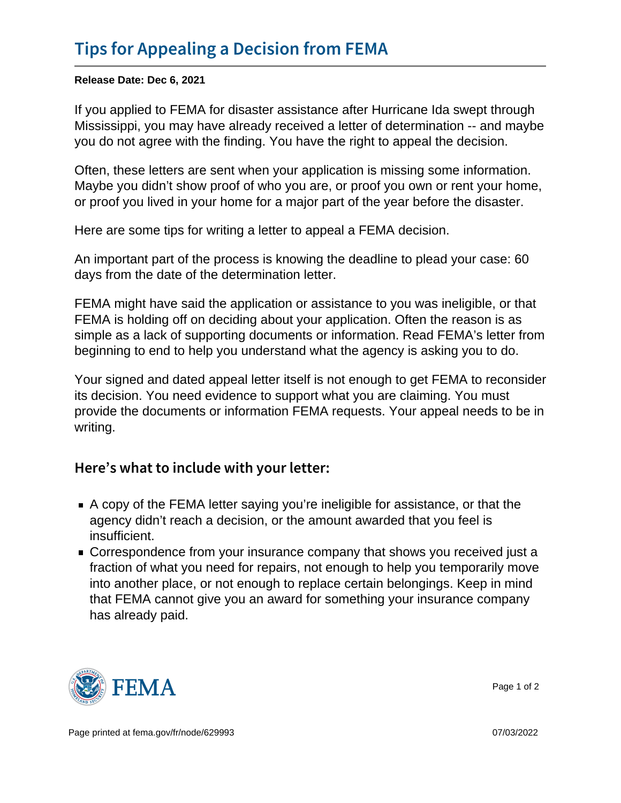Release Date: Dec 6, 2021

If you applied to FEMA for disaster assistance after Hurricane Ida swept through Mississippi, you may have already received a letter of determination -- and maybe you do not agree with the finding. You have the right to appeal the decision.

Often, these letters are sent when your application is missing some information. Maybe you didn't show proof of who you are, or proof you own or rent your home, or proof you lived in your home for a major part of the year before the disaster.

Here are some tips for writing a letter to appeal a FEMA decision.

An important part of the process is knowing the deadline to plead your case: 60 days from the date of the determination letter.

FEMA might have said the application or assistance to you was ineligible, or that FEMA is holding off on deciding about your application. Often the reason is as simple as a lack of supporting documents or information. Read FEMA's letter from beginning to end to help you understand what the agency is asking you to do.

Your signed and dated appeal letter itself is not enough to get FEMA to reconsider its decision. You need evidence to support what you are claiming. You must provide the documents or information FEMA requests. Your appeal needs to be in writing.

## Here s what to include with your letter:

- A copy of the FEMA letter saying you're ineligible for assistance, or that the agency didn't reach a decision, or the amount awarded that you feel is insufficient.
- Correspondence from your insurance company that shows you received just a fraction of what you need for repairs, not enough to help you temporarily move into another place, or not enough to replace certain belongings. Keep in mind that FEMA cannot give you an award for something your insurance company has already paid.



Page 1 of 2

Page printed at [fema.gov/fr/node/629993](https://www.fema.gov/fr/node/629993) 07/03/2022